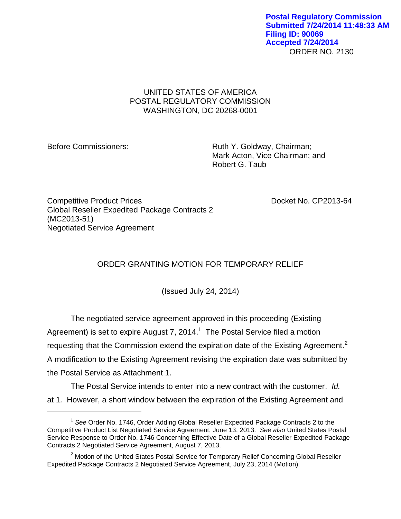## UNITED STATES OF AMERICA POSTAL REGULATORY COMMISSION WASHINGTON, DC 20268-0001

 $\overline{a}$ 

Before Commissioners: Ruth Y. Goldway, Chairman; Mark Acton, Vice Chairman; and Robert G. Taub

Competitive Product Prices **Docket No. CP2013-64** Global Reseller Expedited Package Contracts 2 (MC2013-51) Negotiated Service Agreement

## ORDER GRANTING MOTION FOR TEMPORARY RELIEF

(Issued July 24, 2014)

The negotiated service agreement approved in this proceeding (Existing Agreement) is set to expire August 7, 2014.<sup>1</sup> The Postal Service filed a motion requesting that the Commission extend the expiration date of the Existing Agreement.<sup>2</sup> A modification to the Existing Agreement revising the expiration date was submitted by the Postal Service as Attachment 1.

The Postal Service intends to enter into a new contract with the customer. *Id.*  at 1*.* However, a short window between the expiration of the Existing Agreement and

<sup>&</sup>lt;sup>1</sup> See Order No. 1746, Order Adding Global Reseller Expedited Package Contracts 2 to the Competitive Product List Negotiated Service Agreement, June 13, 2013. *See also* United States Postal Service Response to Order No. 1746 Concerning Effective Date of a Global Reseller Expedited Package Contracts 2 Negotiated Service Agreement, August 7, 2013.

 $<sup>2</sup>$  Motion of the United States Postal Service for Temporary Relief Concerning Global Reseller</sup> Expedited Package Contracts 2 Negotiated Service Agreement, July 23, 2014 (Motion).